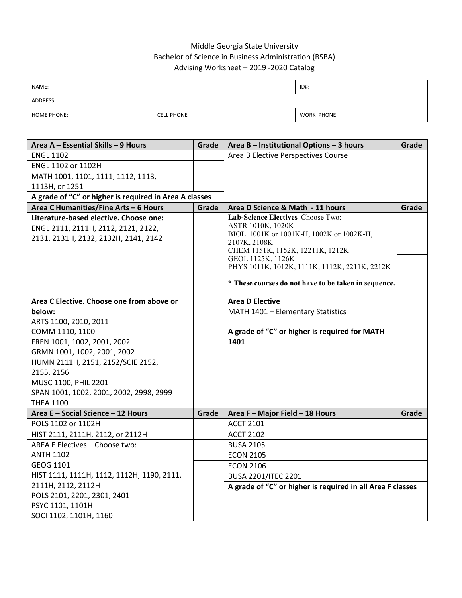## Middle Georgia State University Bachelor of Science in Business Administration (BSBA) Advising Worksheet – 2019 -2020 Catalog

| NAME:              |                   | ID#:        |
|--------------------|-------------------|-------------|
| ADDRESS:           |                   |             |
| <b>HOME PHONE:</b> | <b>CELL PHONE</b> | WORK PHONE: |

| Area A - Essential Skills - 9 Hours                    | Grade | Area B - Institutional Options - 3 hours                   | Grade |
|--------------------------------------------------------|-------|------------------------------------------------------------|-------|
| <b>ENGL 1102</b>                                       |       | Area B Elective Perspectives Course                        |       |
| ENGL 1102 or 1102H                                     |       |                                                            |       |
| MATH 1001, 1101, 1111, 1112, 1113,                     |       |                                                            |       |
| 1113H, or 1251                                         |       |                                                            |       |
| A grade of "C" or higher is required in Area A classes |       |                                                            |       |
| Area C Humanities/Fine Arts - 6 Hours                  | Grade | Area D Science & Math - 11 hours                           | Grade |
| Literature-based elective. Choose one:                 |       | Lab-Science Electives Choose Two:                          |       |
| ENGL 2111, 2111H, 2112, 2121, 2122,                    |       | ASTR 1010K, 1020K                                          |       |
| 2131, 2131H, 2132, 2132H, 2141, 2142                   |       | BIOL 1001K or 1001K-H, 1002K or 1002K-H,<br>2107K, 2108K   |       |
|                                                        |       | CHEM 1151K, 1152K, 12211K, 1212K                           |       |
|                                                        |       | GEOL 1125K, 1126K                                          |       |
|                                                        |       | PHYS 1011K, 1012K, 1111K, 1112K, 2211K, 2212K              |       |
|                                                        |       | * These courses do not have to be taken in sequence.       |       |
|                                                        |       |                                                            |       |
| Area C Elective. Choose one from above or              |       | <b>Area D Elective</b>                                     |       |
| below:                                                 |       | MATH 1401 - Elementary Statistics                          |       |
| ARTS 1100, 2010, 2011                                  |       |                                                            |       |
| COMM 1110, 1100                                        |       | A grade of "C" or higher is required for MATH              |       |
| FREN 1001, 1002, 2001, 2002                            |       | 1401                                                       |       |
| GRMN 1001, 1002, 2001, 2002                            |       |                                                            |       |
| HUMN 2111H, 2151, 2152/SCIE 2152,                      |       |                                                            |       |
| 2155, 2156                                             |       |                                                            |       |
| MUSC 1100, PHIL 2201                                   |       |                                                            |       |
| SPAN 1001, 1002, 2001, 2002, 2998, 2999                |       |                                                            |       |
| <b>THEA 1100</b>                                       |       |                                                            |       |
| Area E - Social Science - 12 Hours                     | Grade | Area F - Major Field - 18 Hours                            | Grade |
| POLS 1102 or 1102H                                     |       | <b>ACCT 2101</b>                                           |       |
| HIST 2111, 2111H, 2112, or 2112H                       |       | <b>ACCT 2102</b>                                           |       |
| AREA E Electives - Choose two:                         |       | <b>BUSA 2105</b>                                           |       |
| <b>ANTH 1102</b>                                       |       | <b>ECON 2105</b>                                           |       |
| GEOG 1101                                              |       | <b>ECON 2106</b>                                           |       |
| HIST 1111, 1111H, 1112, 1112H, 1190, 2111,             |       | <b>BUSA 2201/ITEC 2201</b>                                 |       |
| 2111H, 2112, 2112H                                     |       | A grade of "C" or higher is required in all Area F classes |       |
| POLS 2101, 2201, 2301, 2401                            |       |                                                            |       |
| PSYC 1101, 1101H                                       |       |                                                            |       |
| SOCI 1102, 1101H, 1160                                 |       |                                                            |       |